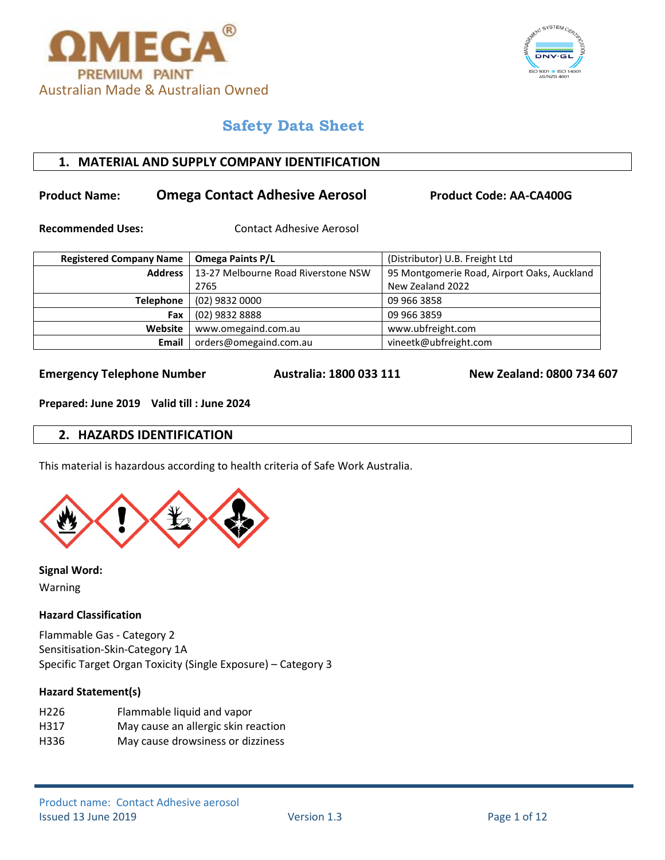



# **1. MATERIAL AND SUPPLY COMPANY IDENTIFICATION**

# **Product Name: Comega Contact Adhesive Aerosol Product Code: AA-CA400G**

**Recommended Uses:** Contact Adhesive Aerosol

| <b>Registered Company Name</b> | (Distributor) U.B. Freight Ltd<br><b>Omega Paints P/L</b> |                                             |
|--------------------------------|-----------------------------------------------------------|---------------------------------------------|
| <b>Address</b>                 | 13-27 Melbourne Road Riverstone NSW                       | 95 Montgomerie Road, Airport Oaks, Auckland |
|                                | 2765                                                      | New Zealand 2022                            |
| <b>Telephone</b>               | (02) 9832 0000                                            | 09 966 3858                                 |
| Fax                            | (02) 9832 8888                                            | 09 966 3859                                 |
| Website                        | www.omegaind.com.au                                       | www.ubfreight.com                           |
| Email                          | orders@omegaind.com.au                                    | vineetk@ubfreight.com                       |

**Emergency Telephone Number Australia: 1800 033 111 New Zealand: 0800 734 607**

**Prepared: June 2019 Valid till : June 2024**

# **2. HAZARDS IDENTIFICATION**

This material is hazardous according to health criteria of Safe Work Australia.



**Signal Word:**  Warning

## **Hazard Classification**

Flammable Gas - Category 2 Sensitisation-Skin-Category 1A Specific Target Organ Toxicity (Single Exposure) – Category 3

#### **Hazard Statement(s)**

| H <sub>226</sub> | Flammable liquid and vapor          |
|------------------|-------------------------------------|
| H317             | May cause an allergic skin reaction |

H336 May cause drowsiness or dizziness

Product name: Contact Adhesive aerosol Issued 13 June 2019 Version 1.3 Page 1 of 12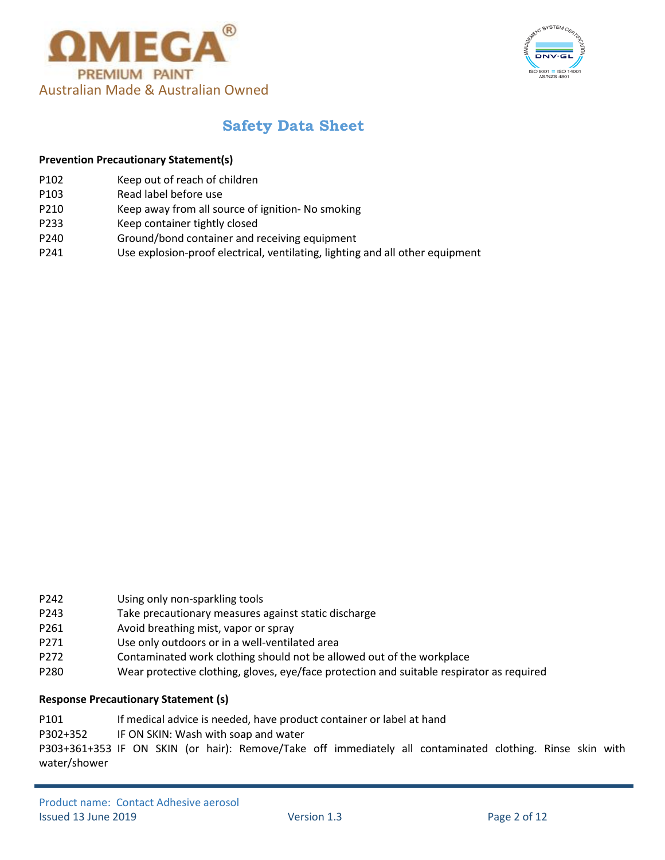



#### **Prevention Precautionary Statement(s)**

- P102 Keep out of reach of children
- P103 Read label before use
- P210 Keep away from all source of ignition- No smoking
- P233 Keep container tightly closed
- P240 Ground/bond container and receiving equipment
- P241 Use explosion-proof electrical, ventilating, lighting and all other equipment

- P242 Using only non-sparkling tools
- P243 Take precautionary measures against static discharge
- P261 Avoid breathing mist, vapor or spray
- P271 Use only outdoors or in a well-ventilated area
- P272 Contaminated work clothing should not be allowed out of the workplace
- P280 Wear protective clothing, gloves, eye/face protection and suitable respirator as required

#### **Response Precautionary Statement (s)**

- P101 If medical advice is needed, have product container or label at hand
- P302+352 IF ON SKIN: Wash with soap and water

P303+361+353 IF ON SKIN (or hair): Remove/Take off immediately all contaminated clothing. Rinse skin with water/shower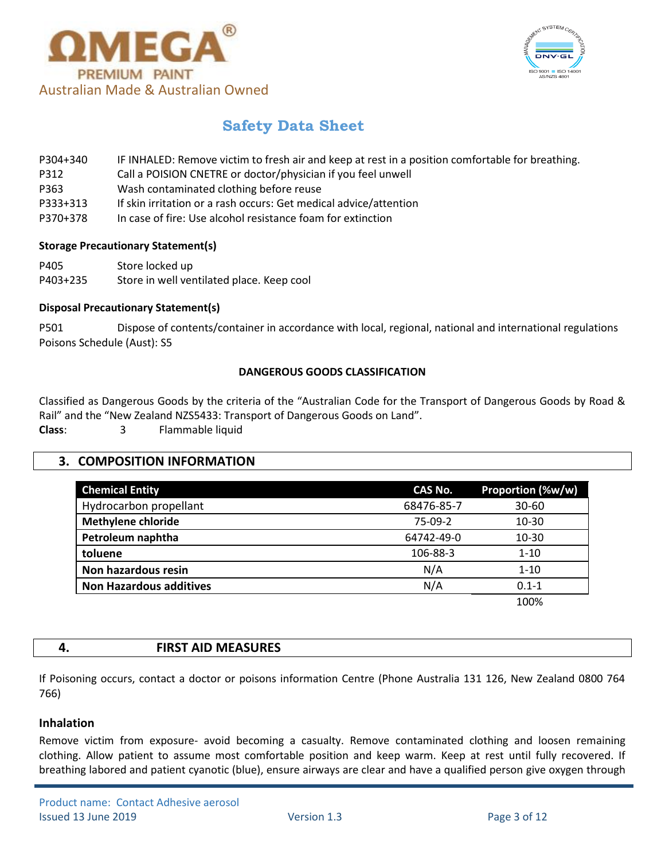



- P304+340 IF INHALED: Remove victim to fresh air and keep at rest in a position comfortable for breathing.
- P312 Call a POISION CNETRE or doctor/physician if you feel unwell
- P363 Wash contaminated clothing before reuse
- P333+313 If skin irritation or a rash occurs: Get medical advice/attention
- P370+378 In case of fire: Use alcohol resistance foam for extinction

## **Storage Precautionary Statement(s)**

- P405 Store locked up
- P403+235 Store in well ventilated place. Keep cool

# **Disposal Precautionary Statement(s)**

P501 Dispose of contents/container in accordance with local, regional, national and international regulations Poisons Schedule (Aust): S5

# **DANGEROUS GOODS CLASSIFICATION**

Classified as Dangerous Goods by the criteria of the "Australian Code for the Transport of Dangerous Goods by Road & Rail" and the "New Zealand NZS5433: Transport of Dangerous Goods on Land". **Class**: 3 Flammable liquid

# **3. COMPOSITION INFORMATION**

| <b>Chemical Entity</b>         | CAS No.    | Proportion (%w/w) |
|--------------------------------|------------|-------------------|
| Hydrocarbon propellant         | 68476-85-7 | $30 - 60$         |
| <b>Methylene chloride</b>      | $75-09-2$  | $10 - 30$         |
| Petroleum naphtha              | 64742-49-0 | 10-30             |
| toluene                        | 106-88-3   | $1 - 10$          |
| Non hazardous resin            | N/A        | $1 - 10$          |
| <b>Non Hazardous additives</b> | N/A        | $0.1 - 1$         |
|                                |            |                   |

100%

## **4. FIRST AID MEASURES**

If Poisoning occurs, contact a doctor or poisons information Centre (Phone Australia 131 126, New Zealand 0800 764 766)

# **Inhalation**

Remove victim from exposure- avoid becoming a casualty. Remove contaminated clothing and loosen remaining clothing. Allow patient to assume most comfortable position and keep warm. Keep at rest until fully recovered. If breathing labored and patient cyanotic (blue), ensure airways are clear and have a qualified person give oxygen through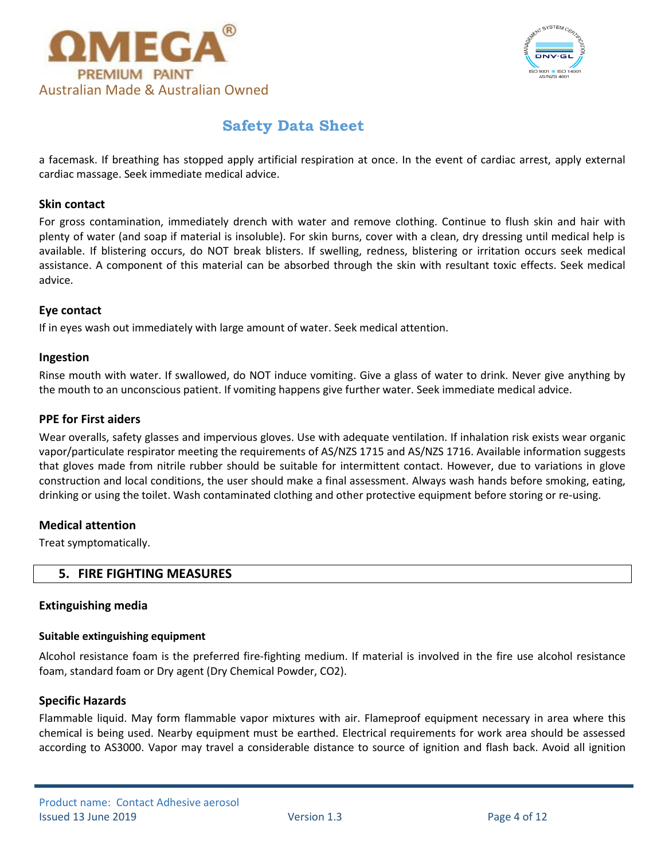



a facemask. If breathing has stopped apply artificial respiration at once. In the event of cardiac arrest, apply external cardiac massage. Seek immediate medical advice.

## **Skin contact**

For gross contamination, immediately drench with water and remove clothing. Continue to flush skin and hair with plenty of water (and soap if material is insoluble). For skin burns, cover with a clean, dry dressing until medical help is available. If blistering occurs, do NOT break blisters. If swelling, redness, blistering or irritation occurs seek medical assistance. A component of this material can be absorbed through the skin with resultant toxic effects. Seek medical advice.

## **Eye contact**

If in eyes wash out immediately with large amount of water. Seek medical attention.

#### **Ingestion**

Rinse mouth with water. If swallowed, do NOT induce vomiting. Give a glass of water to drink. Never give anything by the mouth to an unconscious patient. If vomiting happens give further water. Seek immediate medical advice.

#### **PPE for First aiders**

Wear overalls, safety glasses and impervious gloves. Use with adequate ventilation. If inhalation risk exists wear organic vapor/particulate respirator meeting the requirements of AS/NZS 1715 and AS/NZS 1716. Available information suggests that gloves made from nitrile rubber should be suitable for intermittent contact. However, due to variations in glove construction and local conditions, the user should make a final assessment. Always wash hands before smoking, eating, drinking or using the toilet. Wash contaminated clothing and other protective equipment before storing or re-using.

## **Medical attention**

Treat symptomatically.

## **5. FIRE FIGHTING MEASURES**

#### **Extinguishing media**

#### **Suitable extinguishing equipment**

Alcohol resistance foam is the preferred fire-fighting medium. If material is involved in the fire use alcohol resistance foam, standard foam or Dry agent (Dry Chemical Powder, CO2).

## **Specific Hazards**

Flammable liquid. May form flammable vapor mixtures with air. Flameproof equipment necessary in area where this chemical is being used. Nearby equipment must be earthed. Electrical requirements for work area should be assessed according to AS3000. Vapor may travel a considerable distance to source of ignition and flash back. Avoid all ignition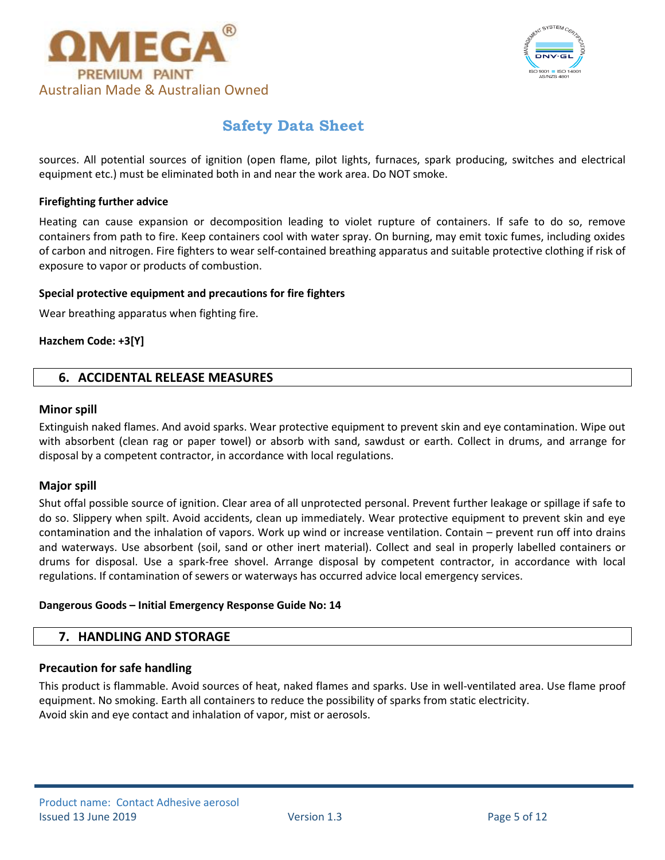



sources. All potential sources of ignition (open flame, pilot lights, furnaces, spark producing, switches and electrical equipment etc.) must be eliminated both in and near the work area. Do NOT smoke.

### **Firefighting further advice**

Heating can cause expansion or decomposition leading to violet rupture of containers. If safe to do so, remove containers from path to fire. Keep containers cool with water spray. On burning, may emit toxic fumes, including oxides of carbon and nitrogen. Fire fighters to wear self-contained breathing apparatus and suitable protective clothing if risk of exposure to vapor or products of combustion.

#### **Special protective equipment and precautions for fire fighters**

Wear breathing apparatus when fighting fire.

## **Hazchem Code: +3[Y]**

# **6. ACCIDENTAL RELEASE MEASURES**

#### **Minor spill**

Extinguish naked flames. And avoid sparks. Wear protective equipment to prevent skin and eye contamination. Wipe out with absorbent (clean rag or paper towel) or absorb with sand, sawdust or earth. Collect in drums, and arrange for disposal by a competent contractor, in accordance with local regulations.

#### **Major spill**

Shut offal possible source of ignition. Clear area of all unprotected personal. Prevent further leakage or spillage if safe to do so. Slippery when spilt. Avoid accidents, clean up immediately. Wear protective equipment to prevent skin and eye contamination and the inhalation of vapors. Work up wind or increase ventilation. Contain – prevent run off into drains and waterways. Use absorbent (soil, sand or other inert material). Collect and seal in properly labelled containers or drums for disposal. Use a spark-free shovel. Arrange disposal by competent contractor, in accordance with local regulations. If contamination of sewers or waterways has occurred advice local emergency services.

#### **Dangerous Goods – Initial Emergency Response Guide No: 14**

## **7. HANDLING AND STORAGE**

## **Precaution for safe handling**

This product is flammable. Avoid sources of heat, naked flames and sparks. Use in well-ventilated area. Use flame proof equipment. No smoking. Earth all containers to reduce the possibility of sparks from static electricity. Avoid skin and eye contact and inhalation of vapor, mist or aerosols.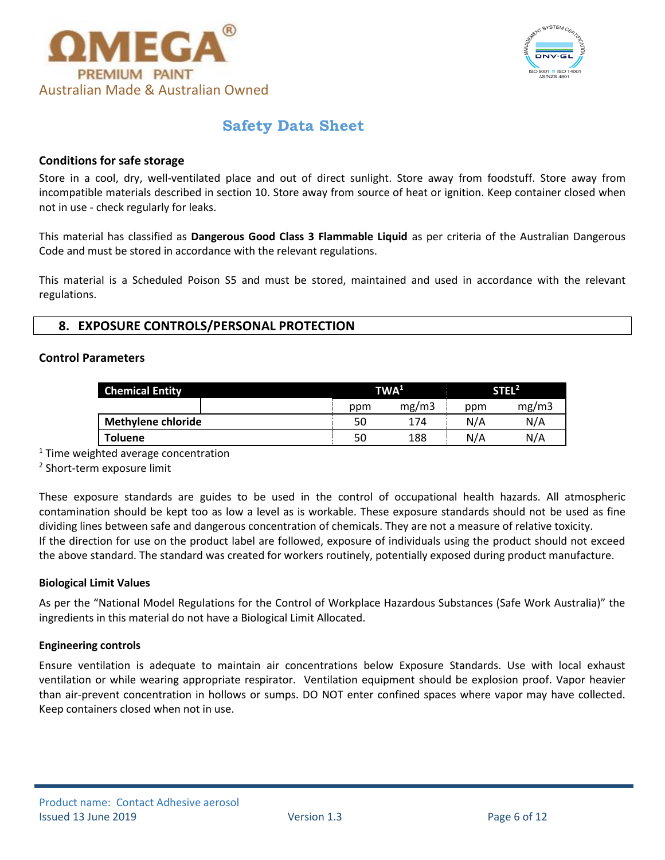



## **Conditions for safe storage**

Store in a cool, dry, well-ventilated place and out of direct sunlight. Store away from foodstuff. Store away from incompatible materials described in section 10. Store away from source of heat or ignition. Keep container closed when not in use - check regularly for leaks.

This material has classified as **Dangerous Good Class 3 Flammable Liquid** as per criteria of the Australian Dangerous Code and must be stored in accordance with the relevant regulations.

This material is a Scheduled Poison S5 and must be stored, maintained and used in accordance with the relevant regulations.

# **8. EXPOSURE CONTROLS/PERSONAL PROTECTION**

#### **Control Parameters**

| <b>Chemical Entity</b>    |     | TWA <sup>1</sup> |     | STEL <sup>2</sup> |  |
|---------------------------|-----|------------------|-----|-------------------|--|
|                           | ppm | mg/m3            | ppm | mg/m3             |  |
| <b>Methylene chloride</b> | 50  | 174              | N/A | N/A               |  |
| <b>Toluene</b>            | 50  | 188              | N/A | N/A               |  |

<sup>1</sup> Time weighted average concentration

2 Short-term exposure limit

These exposure standards are guides to be used in the control of occupational health hazards. All atmospheric contamination should be kept too as low a level as is workable. These exposure standards should not be used as fine dividing lines between safe and dangerous concentration of chemicals. They are not a measure of relative toxicity. If the direction for use on the product label are followed, exposure of individuals using the product should not exceed the above standard. The standard was created for workers routinely, potentially exposed during product manufacture.

#### **Biological Limit Values**

As per the "National Model Regulations for the Control of Workplace Hazardous Substances (Safe Work Australia)" the ingredients in this material do not have a Biological Limit Allocated.

#### **Engineering controls**

Ensure ventilation is adequate to maintain air concentrations below Exposure Standards. Use with local exhaust ventilation or while wearing appropriate respirator. Ventilation equipment should be explosion proof. Vapor heavier than air-prevent concentration in hollows or sumps. DO NOT enter confined spaces where vapor may have collected. Keep containers closed when not in use.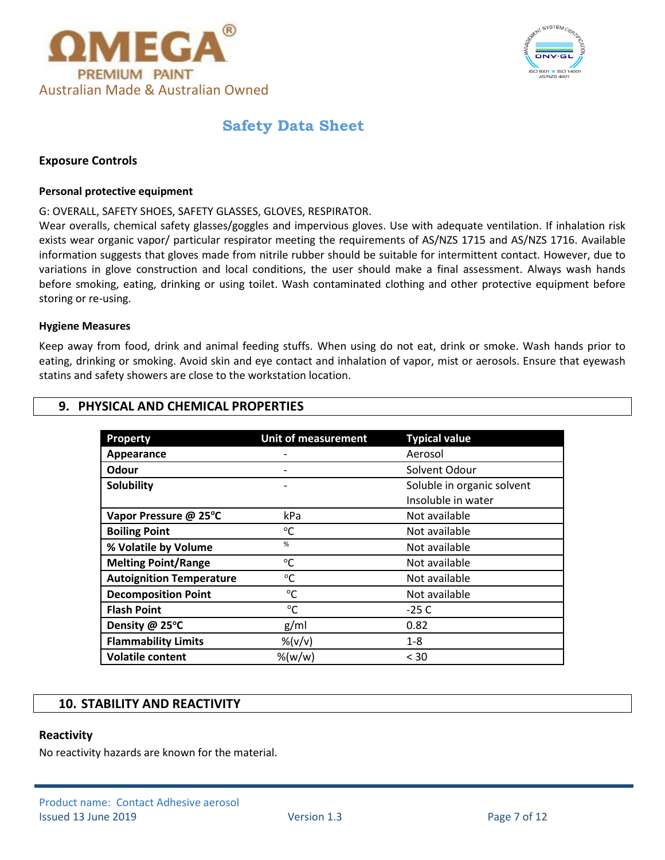



## **Exposure Controls**

#### **Personal protective equipment**

G: OVERALL, SAFETY SHOES, SAFETY GLASSES, GLOVES, RESPIRATOR.

Wear overalls, chemical safety glasses/goggles and impervious gloves. Use with adequate ventilation. If inhalation risk exists wear organic vapor/ particular respirator meeting the requirements of AS/NZS 1715 and AS/NZS 1716. Available information suggests that gloves made from nitrile rubber should be suitable for intermittent contact. However, due to variations in glove construction and local conditions, the user should make a final assessment. Always wash hands before smoking, eating, drinking or using toilet. Wash contaminated clothing and other protective equipment before storing or re-using.

#### **Hygiene Measures**

Keep away from food, drink and animal feeding stuffs. When using do not eat, drink or smoke. Wash hands prior to eating, drinking or smoking. Avoid skin and eye contact and inhalation of vapor, mist or aerosols. Ensure that eyewash statins and safety showers are close to the workstation location.

# **9. PHYSICAL AND CHEMICAL PROPERTIES**

| Property                        | <b>Unit of measurement</b>          | <b>Typical value</b>       |
|---------------------------------|-------------------------------------|----------------------------|
| Appearance                      |                                     | Aerosol                    |
| Odour                           |                                     | Solvent Odour              |
| <b>Solubility</b>               |                                     | Soluble in organic solvent |
|                                 |                                     | Insoluble in water         |
| Vapor Pressure @ 25°C           | kPa                                 | Not available              |
| <b>Boiling Point</b>            | $^{\circ}$ C                        | Not available              |
| % Volatile by Volume            | %                                   | Not available              |
| <b>Melting Point/Range</b>      | °C                                  | Not available              |
| <b>Autoignition Temperature</b> | °C                                  | Not available              |
| <b>Decomposition Point</b>      | $^{\circ}$ C                        | Not available              |
| <b>Flash Point</b>              | $^{\circ}C$                         | $-25C$                     |
| Density @ 25°C                  | g/ml                                | 0.82                       |
| <b>Flammability Limits</b>      | $\frac{\%}{\lor}$ $\frac{\%}{\lor}$ | $1 - 8$                    |
| <b>Volatile content</b>         | % (w/w)                             | $<$ 30                     |

# **10. STABILITY AND REACTIVITY**

## **Reactivity**

No reactivity hazards are known for the material.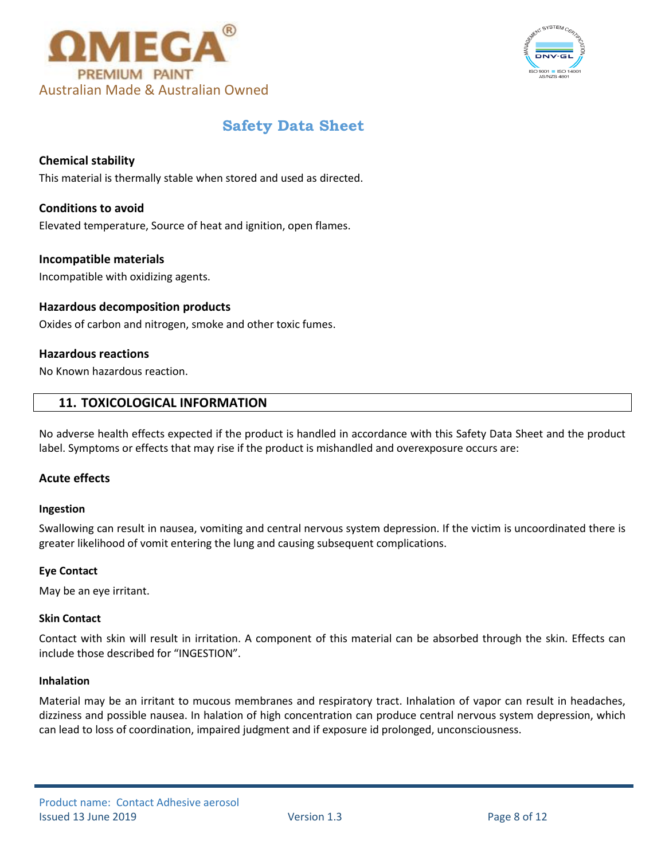



# **Chemical stability**

This material is thermally stable when stored and used as directed.

# **Conditions to avoid**

Elevated temperature, Source of heat and ignition, open flames.

#### **Incompatible materials**

Incompatible with oxidizing agents.

## **Hazardous decomposition products**

Oxides of carbon and nitrogen, smoke and other toxic fumes.

## **Hazardous reactions**

No Known hazardous reaction.

# **11. TOXICOLOGICAL INFORMATION**

No adverse health effects expected if the product is handled in accordance with this Safety Data Sheet and the product label. Symptoms or effects that may rise if the product is mishandled and overexposure occurs are:

## **Acute effects**

#### **Ingestion**

Swallowing can result in nausea, vomiting and central nervous system depression. If the victim is uncoordinated there is greater likelihood of vomit entering the lung and causing subsequent complications.

#### **Eye Contact**

May be an eye irritant.

#### **Skin Contact**

Contact with skin will result in irritation. A component of this material can be absorbed through the skin. Effects can include those described for "INGESTION".

#### **Inhalation**

Material may be an irritant to mucous membranes and respiratory tract. Inhalation of vapor can result in headaches, dizziness and possible nausea. In halation of high concentration can produce central nervous system depression, which can lead to loss of coordination, impaired judgment and if exposure id prolonged, unconsciousness.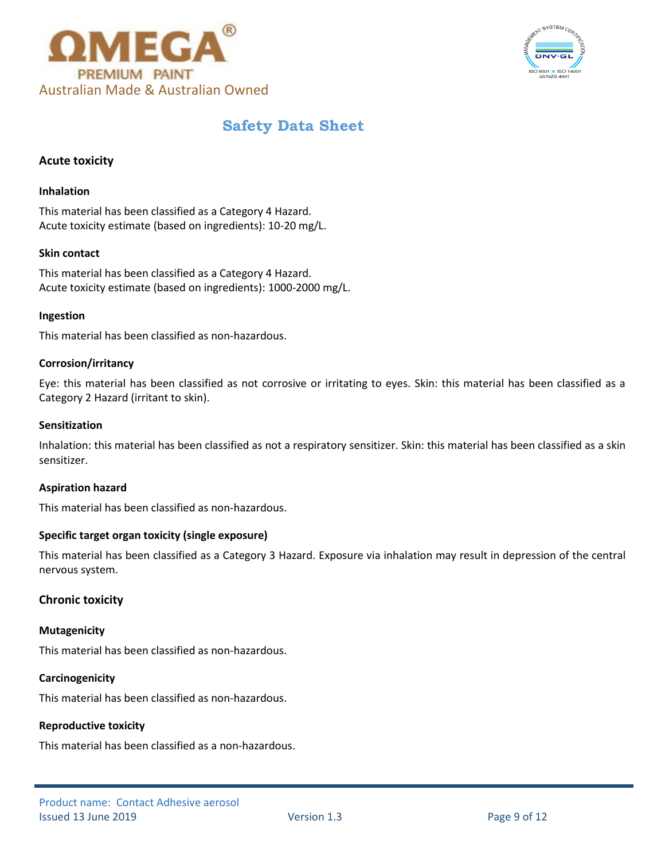



# **Acute toxicity**

#### **Inhalation**

This material has been classified as a Category 4 Hazard. Acute toxicity estimate (based on ingredients): 10-20 mg/L.

#### **Skin contact**

This material has been classified as a Category 4 Hazard. Acute toxicity estimate (based on ingredients): 1000-2000 mg/L.

#### **Ingestion**

This material has been classified as non-hazardous.

#### **Corrosion/irritancy**

Eye: this material has been classified as not corrosive or irritating to eyes. Skin: this material has been classified as a Category 2 Hazard (irritant to skin).

#### **Sensitization**

Inhalation: this material has been classified as not a respiratory sensitizer. Skin: this material has been classified as a skin sensitizer.

#### **Aspiration hazard**

This material has been classified as non-hazardous.

#### **Specific target organ toxicity (single exposure)**

This material has been classified as a Category 3 Hazard. Exposure via inhalation may result in depression of the central nervous system.

## **Chronic toxicity**

#### **Mutagenicity**

This material has been classified as non-hazardous.

#### **Carcinogenicity**

This material has been classified as non-hazardous.

#### **Reproductive toxicity**

This material has been classified as a non-hazardous.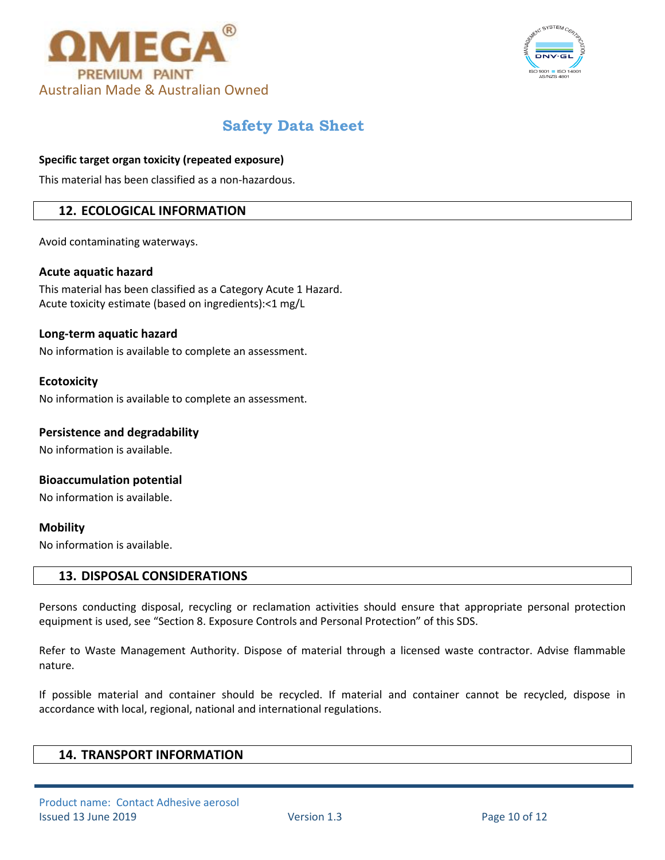



# **Specific target organ toxicity (repeated exposure)**

This material has been classified as a non-hazardous.

# **12. ECOLOGICAL INFORMATION**

Avoid contaminating waterways.

#### **Acute aquatic hazard**

This material has been classified as a Category Acute 1 Hazard. Acute toxicity estimate (based on ingredients):<1 mg/L

### **Long-term aquatic hazard**

No information is available to complete an assessment.

#### **Ecotoxicity**

No information is available to complete an assessment.

### **Persistence and degradability**

No information is available.

# **Bioaccumulation potential**

No information is available.

## **Mobility**

No information is available.

## **13. DISPOSAL CONSIDERATIONS**

Persons conducting disposal, recycling or reclamation activities should ensure that appropriate personal protection equipment is used, see "Section 8. Exposure Controls and Personal Protection" of this SDS.

Refer to Waste Management Authority. Dispose of material through a licensed waste contractor. Advise flammable nature.

If possible material and container should be recycled. If material and container cannot be recycled, dispose in accordance with local, regional, national and international regulations.

# **14. TRANSPORT INFORMATION**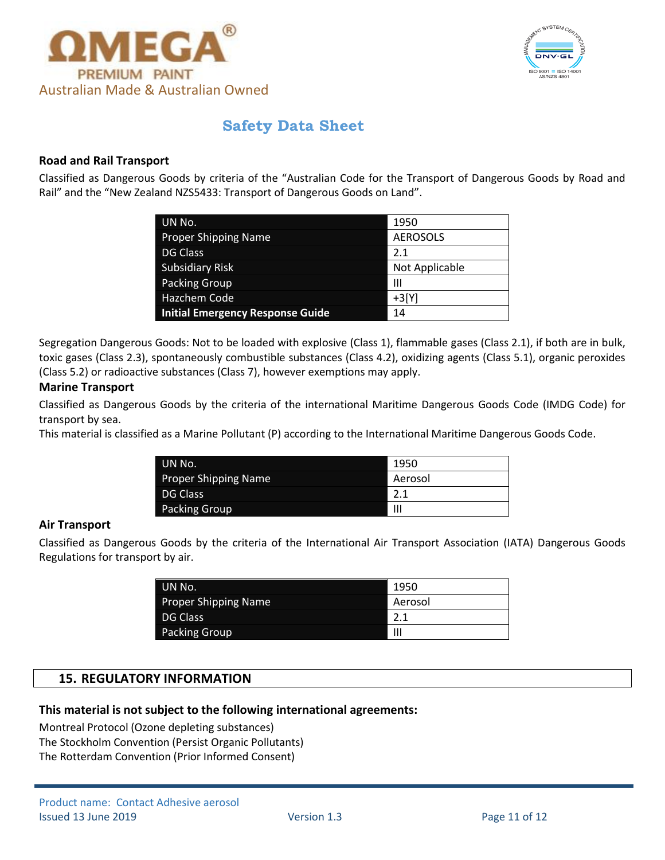



# **Road and Rail Transport**

Classified as Dangerous Goods by criteria of the "Australian Code for the Transport of Dangerous Goods by Road and Rail" and the "New Zealand NZS5433: Transport of Dangerous Goods on Land".

| UN No.                                  | 1950            |
|-----------------------------------------|-----------------|
| <b>Proper Shipping Name</b>             | <b>AEROSOLS</b> |
| <b>DG Class</b>                         | 2.1             |
| Subsidiary Risk                         | Not Applicable  |
| Packing Group                           | Ш               |
| Hazchem Code                            | $+3[Y]$         |
| <b>Initial Emergency Response Guide</b> | 14              |

Segregation Dangerous Goods: Not to be loaded with explosive (Class 1), flammable gases (Class 2.1), if both are in bulk, toxic gases (Class 2.3), spontaneously combustible substances (Class 4.2), oxidizing agents (Class 5.1), organic peroxides (Class 5.2) or radioactive substances (Class 7), however exemptions may apply.

# **Marine Transport**

Classified as Dangerous Goods by the criteria of the international Maritime Dangerous Goods Code (IMDG Code) for transport by sea.

This material is classified as a Marine Pollutant (P) according to the International Maritime Dangerous Goods Code.

| UN No.                      | 1950    |
|-----------------------------|---------|
| <b>Proper Shipping Name</b> | Aerosol |
| DG Class                    | 2.1     |
| Packing Group               | Ш       |

## **Air Transport**

Classified as Dangerous Goods by the criteria of the International Air Transport Association (IATA) Dangerous Goods Regulations for transport by air.

| UN No.               | 1950    |
|----------------------|---------|
| Proper Shipping Name | Aerosol |
| DG Class             | 2.1     |
| Packing Group        | Ш       |

# **15. REGULATORY INFORMATION**

## **This material is not subject to the following international agreements:**

Montreal Protocol (Ozone depleting substances) The Stockholm Convention (Persist Organic Pollutants) The Rotterdam Convention (Prior Informed Consent)